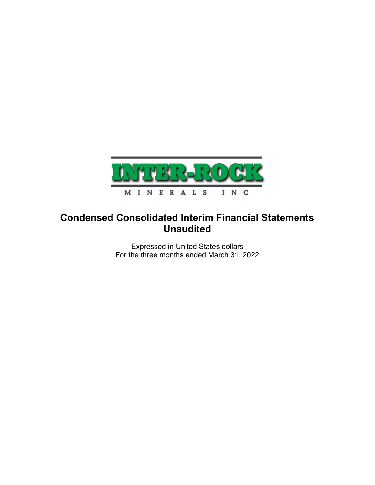

# Condensed Consolidated Interim Financial Statements Unaudited

Expressed in United States dollars For the three months ended March 31, 2022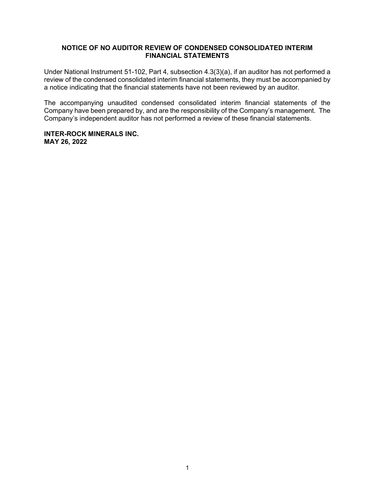## NOTICE OF NO AUDITOR REVIEW OF CONDENSED CONSOLIDATED INTERIM FINANCIAL STATEMENTS

Under National Instrument 51-102, Part 4, subsection 4.3(3)(a), if an auditor has not performed a review of the condensed consolidated interim financial statements, they must be accompanied by a notice indicating that the financial statements have not been reviewed by an auditor.

The accompanying unaudited condensed consolidated interim financial statements of the Company have been prepared by, and are the responsibility of the Company's management. The Company's independent auditor has not performed a review of these financial statements.

## INTER-ROCK MINERALS INC. MAY 26, 2022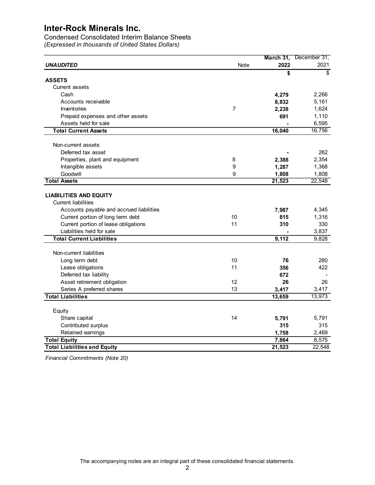| <b>Inter-Rock Minerals Inc.</b><br><b>Condensed Consolidated Interim Balance Sheets</b><br>(Expressed in thousands of United States Dollars)<br>March 31,<br>December 31,<br><b>UNAUDITED</b><br>2022<br>2021<br>Note<br>\$<br>\$<br><b>ASSETS</b><br><b>Current assets</b><br>Cash<br>2,266<br>4,279<br>8,832<br>5,161<br>Accounts receivable<br>$\overline{7}$<br>1,624<br>Inventories<br>2,238<br>Prepaid expenses and other assets<br>691<br>1,110<br>Assets held for sale<br>6,595<br>16,756<br><b>Total Current Assets</b><br>16,040<br>Non-current assets<br>Deferred tax asset<br>262<br>8<br>2,354<br>Properties, plant and equipment<br>2,388<br>9<br>Intangible assets<br>1,287<br>1,368<br>9<br>Goodwill<br>1,808<br>1,808<br>22,548<br><b>Total Assets</b><br>21,523<br><b>LIABILITIES AND EQUITY</b><br><b>Current liabilities</b><br>Accounts payable and accrued liabilities<br>7,987<br>4,345<br>Current portion of long term debt<br>1,316<br>10<br>815<br>Current portion of lease obligations<br>330<br>11<br>310<br>Liabilities held for sale<br>3,837<br>9,112<br>9,828<br><b>Total Current Liabilities</b> |                         |
|-----------------------------------------------------------------------------------------------------------------------------------------------------------------------------------------------------------------------------------------------------------------------------------------------------------------------------------------------------------------------------------------------------------------------------------------------------------------------------------------------------------------------------------------------------------------------------------------------------------------------------------------------------------------------------------------------------------------------------------------------------------------------------------------------------------------------------------------------------------------------------------------------------------------------------------------------------------------------------------------------------------------------------------------------------------------------------------------------------------------------------------|-------------------------|
|                                                                                                                                                                                                                                                                                                                                                                                                                                                                                                                                                                                                                                                                                                                                                                                                                                                                                                                                                                                                                                                                                                                                   |                         |
|                                                                                                                                                                                                                                                                                                                                                                                                                                                                                                                                                                                                                                                                                                                                                                                                                                                                                                                                                                                                                                                                                                                                   |                         |
|                                                                                                                                                                                                                                                                                                                                                                                                                                                                                                                                                                                                                                                                                                                                                                                                                                                                                                                                                                                                                                                                                                                                   |                         |
|                                                                                                                                                                                                                                                                                                                                                                                                                                                                                                                                                                                                                                                                                                                                                                                                                                                                                                                                                                                                                                                                                                                                   |                         |
|                                                                                                                                                                                                                                                                                                                                                                                                                                                                                                                                                                                                                                                                                                                                                                                                                                                                                                                                                                                                                                                                                                                                   |                         |
|                                                                                                                                                                                                                                                                                                                                                                                                                                                                                                                                                                                                                                                                                                                                                                                                                                                                                                                                                                                                                                                                                                                                   |                         |
|                                                                                                                                                                                                                                                                                                                                                                                                                                                                                                                                                                                                                                                                                                                                                                                                                                                                                                                                                                                                                                                                                                                                   |                         |
|                                                                                                                                                                                                                                                                                                                                                                                                                                                                                                                                                                                                                                                                                                                                                                                                                                                                                                                                                                                                                                                                                                                                   |                         |
|                                                                                                                                                                                                                                                                                                                                                                                                                                                                                                                                                                                                                                                                                                                                                                                                                                                                                                                                                                                                                                                                                                                                   |                         |
|                                                                                                                                                                                                                                                                                                                                                                                                                                                                                                                                                                                                                                                                                                                                                                                                                                                                                                                                                                                                                                                                                                                                   |                         |
|                                                                                                                                                                                                                                                                                                                                                                                                                                                                                                                                                                                                                                                                                                                                                                                                                                                                                                                                                                                                                                                                                                                                   |                         |
|                                                                                                                                                                                                                                                                                                                                                                                                                                                                                                                                                                                                                                                                                                                                                                                                                                                                                                                                                                                                                                                                                                                                   |                         |
|                                                                                                                                                                                                                                                                                                                                                                                                                                                                                                                                                                                                                                                                                                                                                                                                                                                                                                                                                                                                                                                                                                                                   |                         |
|                                                                                                                                                                                                                                                                                                                                                                                                                                                                                                                                                                                                                                                                                                                                                                                                                                                                                                                                                                                                                                                                                                                                   |                         |
|                                                                                                                                                                                                                                                                                                                                                                                                                                                                                                                                                                                                                                                                                                                                                                                                                                                                                                                                                                                                                                                                                                                                   |                         |
|                                                                                                                                                                                                                                                                                                                                                                                                                                                                                                                                                                                                                                                                                                                                                                                                                                                                                                                                                                                                                                                                                                                                   |                         |
|                                                                                                                                                                                                                                                                                                                                                                                                                                                                                                                                                                                                                                                                                                                                                                                                                                                                                                                                                                                                                                                                                                                                   |                         |
|                                                                                                                                                                                                                                                                                                                                                                                                                                                                                                                                                                                                                                                                                                                                                                                                                                                                                                                                                                                                                                                                                                                                   |                         |
|                                                                                                                                                                                                                                                                                                                                                                                                                                                                                                                                                                                                                                                                                                                                                                                                                                                                                                                                                                                                                                                                                                                                   |                         |
|                                                                                                                                                                                                                                                                                                                                                                                                                                                                                                                                                                                                                                                                                                                                                                                                                                                                                                                                                                                                                                                                                                                                   |                         |
|                                                                                                                                                                                                                                                                                                                                                                                                                                                                                                                                                                                                                                                                                                                                                                                                                                                                                                                                                                                                                                                                                                                                   |                         |
|                                                                                                                                                                                                                                                                                                                                                                                                                                                                                                                                                                                                                                                                                                                                                                                                                                                                                                                                                                                                                                                                                                                                   |                         |
|                                                                                                                                                                                                                                                                                                                                                                                                                                                                                                                                                                                                                                                                                                                                                                                                                                                                                                                                                                                                                                                                                                                                   |                         |
|                                                                                                                                                                                                                                                                                                                                                                                                                                                                                                                                                                                                                                                                                                                                                                                                                                                                                                                                                                                                                                                                                                                                   |                         |
|                                                                                                                                                                                                                                                                                                                                                                                                                                                                                                                                                                                                                                                                                                                                                                                                                                                                                                                                                                                                                                                                                                                                   |                         |
|                                                                                                                                                                                                                                                                                                                                                                                                                                                                                                                                                                                                                                                                                                                                                                                                                                                                                                                                                                                                                                                                                                                                   |                         |
|                                                                                                                                                                                                                                                                                                                                                                                                                                                                                                                                                                                                                                                                                                                                                                                                                                                                                                                                                                                                                                                                                                                                   |                         |
|                                                                                                                                                                                                                                                                                                                                                                                                                                                                                                                                                                                                                                                                                                                                                                                                                                                                                                                                                                                                                                                                                                                                   |                         |
|                                                                                                                                                                                                                                                                                                                                                                                                                                                                                                                                                                                                                                                                                                                                                                                                                                                                                                                                                                                                                                                                                                                                   |                         |
|                                                                                                                                                                                                                                                                                                                                                                                                                                                                                                                                                                                                                                                                                                                                                                                                                                                                                                                                                                                                                                                                                                                                   |                         |
|                                                                                                                                                                                                                                                                                                                                                                                                                                                                                                                                                                                                                                                                                                                                                                                                                                                                                                                                                                                                                                                                                                                                   | Non-current liabilities |
| Long term debt<br>10<br>280<br>76                                                                                                                                                                                                                                                                                                                                                                                                                                                                                                                                                                                                                                                                                                                                                                                                                                                                                                                                                                                                                                                                                                 |                         |
| Lease obligations<br>11<br>422<br>356                                                                                                                                                                                                                                                                                                                                                                                                                                                                                                                                                                                                                                                                                                                                                                                                                                                                                                                                                                                                                                                                                             |                         |
| Deferred tax liability<br>672<br>26                                                                                                                                                                                                                                                                                                                                                                                                                                                                                                                                                                                                                                                                                                                                                                                                                                                                                                                                                                                                                                                                                               |                         |
| Asset retirement obligation<br>12<br>26<br>13<br>Series A preferred shares<br>3,417<br>3,417                                                                                                                                                                                                                                                                                                                                                                                                                                                                                                                                                                                                                                                                                                                                                                                                                                                                                                                                                                                                                                      |                         |
| 13,973<br><b>Total Liabilities</b><br>13,659                                                                                                                                                                                                                                                                                                                                                                                                                                                                                                                                                                                                                                                                                                                                                                                                                                                                                                                                                                                                                                                                                      |                         |
|                                                                                                                                                                                                                                                                                                                                                                                                                                                                                                                                                                                                                                                                                                                                                                                                                                                                                                                                                                                                                                                                                                                                   |                         |
| Equity                                                                                                                                                                                                                                                                                                                                                                                                                                                                                                                                                                                                                                                                                                                                                                                                                                                                                                                                                                                                                                                                                                                            |                         |
| Share capital<br>14<br>5,791<br>5,791                                                                                                                                                                                                                                                                                                                                                                                                                                                                                                                                                                                                                                                                                                                                                                                                                                                                                                                                                                                                                                                                                             |                         |
| Contributed surplus<br>315<br>315                                                                                                                                                                                                                                                                                                                                                                                                                                                                                                                                                                                                                                                                                                                                                                                                                                                                                                                                                                                                                                                                                                 |                         |
| Retained earnings<br>2,469<br>1,758                                                                                                                                                                                                                                                                                                                                                                                                                                                                                                                                                                                                                                                                                                                                                                                                                                                                                                                                                                                                                                                                                               |                         |
| 8,575<br><b>Total Equity</b><br>7,864                                                                                                                                                                                                                                                                                                                                                                                                                                                                                                                                                                                                                                                                                                                                                                                                                                                                                                                                                                                                                                                                                             |                         |
| <b>Total Liabilities and Equity</b><br>22,548<br>21,523                                                                                                                                                                                                                                                                                                                                                                                                                                                                                                                                                                                                                                                                                                                                                                                                                                                                                                                                                                                                                                                                           |                         |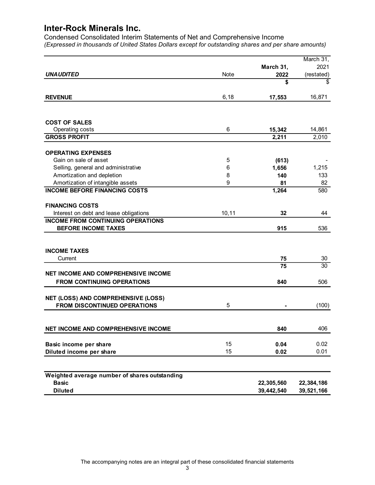|                                                                                    |                  |                          | March 31,<br>2021          |
|------------------------------------------------------------------------------------|------------------|--------------------------|----------------------------|
| <b>UNAUDITED</b>                                                                   | Note             | March 31,<br>2022        | (restated)                 |
|                                                                                    |                  | \$                       | \$                         |
| <b>REVENUE</b>                                                                     | 6, 18            | 17,553                   | 16,871                     |
|                                                                                    |                  |                          |                            |
| <b>COST OF SALES</b>                                                               |                  |                          |                            |
| Operating costs                                                                    | 6                | 15,342                   | 14,861                     |
| <b>GROSS PROFIT</b>                                                                |                  | 2,211                    | 2,010                      |
| <b>OPERATING EXPENSES</b>                                                          |                  |                          |                            |
| Gain on sale of asset                                                              | 5                | (613)                    |                            |
| Selling, general and administrative                                                | 6                | 1,656                    | 1,215                      |
| Amortization and depletion                                                         | 8                | 140                      | 133                        |
| Amortization of intangible assets                                                  | $\boldsymbol{9}$ | 81                       | 82                         |
| <b>INCOME BEFORE FINANCING COSTS</b>                                               |                  | 1,264                    | 580                        |
| <b>FINANCING COSTS</b>                                                             |                  |                          |                            |
| Interest on debt and lease obligations<br><b>INCOME FROM CONTINUING OPERATIONS</b> | 10, 11           | 32                       | 44                         |
| <b>BEFORE INCOME TAXES</b>                                                         |                  | 915                      | 536                        |
|                                                                                    |                  |                          |                            |
| <b>INCOME TAXES</b>                                                                |                  |                          |                            |
| Current                                                                            |                  | 75                       | 30                         |
|                                                                                    |                  | 75                       | $\overline{30}$            |
| NET INCOME AND COMPREHENSIVE INCOME<br>FROM CONTINUING OPERATIONS                  |                  |                          |                            |
|                                                                                    |                  | 840                      | 506                        |
| NET (LOSS) AND COMPREHENSIVE (LOSS)                                                |                  |                          |                            |
| FROM DISCONTINUED OPERATIONS                                                       | 5                |                          | (100)                      |
| NET INCOME AND COMPREHENSIVE INCOME                                                |                  | 840                      | 406                        |
| Basic income per share                                                             | 15               | 0.04                     | 0.02                       |
| Diluted income per share                                                           | 15               | 0.02                     | 0.01                       |
|                                                                                    |                  |                          |                            |
| Weighted average number of shares outstanding                                      |                  |                          |                            |
| <b>Basic</b><br><b>Diluted</b>                                                     |                  | 22,305,560<br>39,442,540 | 22, 384, 186<br>39,521,166 |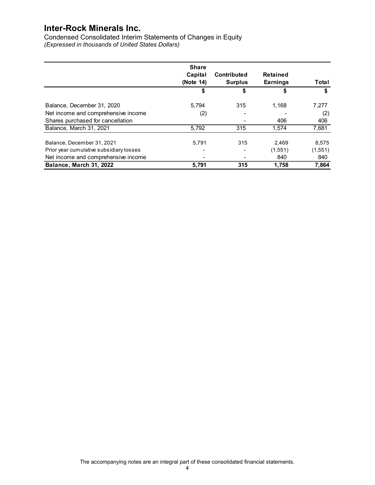| <b>Inter-Rock Minerals Inc.</b><br>Condensed Consolidated Interim Statements of Changes in Equity |              |                          |                 |              |
|---------------------------------------------------------------------------------------------------|--------------|--------------------------|-----------------|--------------|
|                                                                                                   |              |                          |                 |              |
|                                                                                                   |              |                          |                 |              |
|                                                                                                   |              |                          |                 |              |
|                                                                                                   |              |                          |                 |              |
|                                                                                                   |              |                          |                 |              |
|                                                                                                   |              |                          |                 |              |
|                                                                                                   |              |                          |                 |              |
|                                                                                                   |              |                          |                 |              |
|                                                                                                   |              |                          |                 |              |
| (Expressed in thousands of United States Dollars)                                                 |              |                          |                 |              |
|                                                                                                   |              |                          |                 |              |
|                                                                                                   |              |                          |                 |              |
|                                                                                                   |              |                          |                 |              |
|                                                                                                   | <b>Share</b> |                          |                 |              |
|                                                                                                   |              |                          |                 |              |
|                                                                                                   | Capital      | <b>Contributed</b>       | Retained        |              |
|                                                                                                   | (Note 14)    | <b>Surplus</b>           | <b>Earnings</b> | Total        |
|                                                                                                   | \$           | \$                       | \$              | \$.          |
|                                                                                                   |              |                          |                 |              |
|                                                                                                   |              |                          |                 |              |
|                                                                                                   |              |                          |                 |              |
|                                                                                                   | 5,794        | 315                      |                 |              |
| Balance, December 31, 2020                                                                        |              |                          | 1,168           | 7,277        |
| Net income and comprehensive income                                                               | (2)          | $\overline{\phantom{a}}$ | $\overline{a}$  | (2)          |
| Shares purchased for cancellation                                                                 |              | $\blacksquare$           | 406             | 406          |
| Balance, March 31, 2021                                                                           | 5,792        | 315                      | 1,574           | 7,681        |
|                                                                                                   |              |                          |                 |              |
|                                                                                                   |              |                          |                 |              |
| Balance, December 31, 2021                                                                        | 5,791        | 315                      | 2,469           | 8,575        |
| Prior year cumulative subsidiary losses                                                           |              | $\blacksquare$           | (1,551)         | (1,551)      |
|                                                                                                   | -            | $\sim$                   |                 |              |
| Net income and comprehensive income<br>Balance, March 31, 2022                                    | 5,791        | 315                      | 840<br>1,758    | 840<br>7,864 |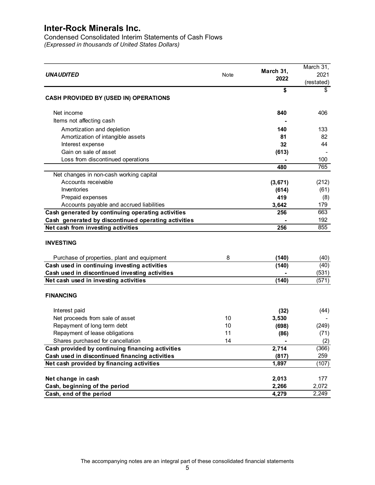Condensed Consolidated Interim Statements of Cash Flows (Expressed in thousands of United States Dollars)

|                                                     |      | March 31, | March 31,          |
|-----------------------------------------------------|------|-----------|--------------------|
| <b>UNAUDITED</b>                                    | Note | 2022      | 2021<br>(restated) |
|                                                     |      | \$        | \$                 |
| CASH PROVIDED BY (USED IN) OPERATIONS               |      |           |                    |
| Net income                                          |      | 840       | 406                |
| Items not affecting cash                            |      |           |                    |
| Amortization and depletion                          |      | 140       | 133                |
| Amortization of intangible assets                   |      | 81        | 82                 |
| Interest expense                                    |      | 32        | 44                 |
| Gain on sale of asset                               |      | (613)     |                    |
| Loss from discontinued operations                   |      |           | 100                |
|                                                     |      | 480       | 765                |
| Net changes in non-cash working capital             |      |           |                    |
| Accounts receivable                                 |      | (3,671)   | (212)              |
| Inventories                                         |      | (614)     | (61)               |
| Prepaid expenses                                    |      | 419       | (8)                |
| Accounts payable and accrued liabilities            |      | 3,642     | 179                |
| Cash generated by continuing operating activities   |      | 256       | 663                |
| Cash generated by discontinued operating activities |      |           | 192                |
| Net cash from investing activities                  |      | 256       | 855                |
|                                                     |      |           |                    |
| <b>INVESTING</b>                                    |      |           |                    |
| Purchase of properties, plant and equipment         | 8    | (140)     | (40)               |
| Cash used in continuing investing activities        |      | (140)     | (40)               |
| Cash used in discontinued investing activities      |      |           | (531)              |
| Net cash used in investing activities               |      | (140)     | (571)              |
| <b>FINANCING</b>                                    |      |           |                    |
|                                                     |      |           |                    |
| Interest paid                                       |      | (32)      | (44)               |
| Net proceeds from sale of asset                     | 10   | 3,530     |                    |
| Repayment of long term debt                         | 10   | (698)     | (249)              |
| Repayment of lease obligations                      | 11   | (86)      | (71)               |
| Shares purchased for cancellation                   | 14   |           | (2)                |
| Cash provided by continuing financing activities    |      | 2,714     | (366)              |
| Cash used in discontinued financing activities      |      | (817)     | 259                |
| Net cash provided by financing activities           |      | 1,897     | (107)              |
|                                                     |      |           |                    |
| Net change in cash                                  |      | 2,013     | 177                |
| Cash, beginning of the period                       |      | 2,266     | 2,072              |
| Cash, end of the period                             |      | 4,279     | 2,249              |
|                                                     |      |           |                    |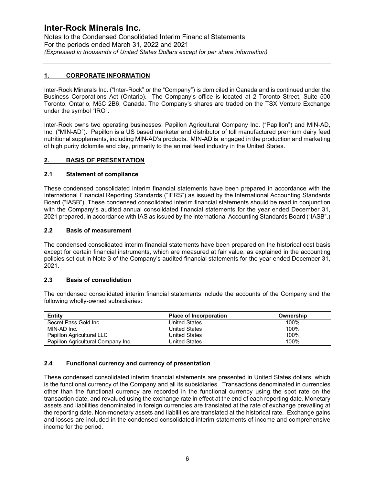Notes to the Condensed Consolidated Interim Financial Statements For the periods ended March 31, 2022 and 2021 (Expressed in thousands of United States Dollars except for per share information)

## 1. CORPORATE INFORMATION

Inter-Rock Minerals Inc. ("Inter-Rock" or the "Company") is domiciled in Canada and is continued under the Business Corporations Act (Ontario). The Company's office is located at 2 Toronto Street, Suite 500 Toronto, Ontario, M5C 2B6, Canada. The Company's shares are traded on the TSX Venture Exchange under the symbol "IRO".

Inter-Rock owns two operating businesses: Papillon Agricultural Company Inc. ("Papillon") and MIN-AD, Inc. ("MIN-AD"). Papillon is a US based marketer and distributor of toll manufactured premium dairy feed nutritional supplements, including MIN-AD's products. MIN-AD is engaged in the production and marketing of high purity dolomite and clay, primarily to the animal feed industry in the United States.

## 2. BASIS OF PRESENTATION

#### 2.1 Statement of compliance

These condensed consolidated interim financial statements have been prepared in accordance with the International Financial Reporting Standards ("IFRS") as issued by the International Accounting Standards Board ("IASB"). These condensed consolidated interim financial statements should be read in conjunction with the Company's audited annual consolidated financial statements for the year ended December 31, 2021 prepared, in accordance with IAS as issued by the international Accounting Standards Board ("IASB".)

#### 2.2 Basis of measurement

The condensed consolidated interim financial statements have been prepared on the historical cost basis except for certain financial instruments, which are measured at fair value, as explained in the accounting policies set out in Note 3 of the Company's audited financial statements for the year ended December 31, 2021.

## 2.3 Basis of consolidation

The condensed consolidated interim financial statements include the accounts of the Company and the following wholly-owned subsidiaries:

| <b>Entity</b>                      | <b>Place of Incorporation</b> | Ownership |
|------------------------------------|-------------------------------|-----------|
| Secret Pass Gold Inc.              | United States                 | 100%      |
| MIN-AD Inc.                        | United States                 | 100%      |
| Papillon Agricultural LLC          | United States                 | 100%      |
| Papillon Agricultural Company Inc. | United States                 | 100%      |

## 2.4 Functional currency and currency of presentation

These condensed consolidated interim financial statements are presented in United States dollars, which is the functional currency of the Company and all its subsidiaries. Transactions denominated in currencies other than the functional currency are recorded in the functional currency using the spot rate on the transaction date, and revalued using the exchange rate in effect at the end of each reporting date. Monetary assets and liabilities denominated in foreign currencies are translated at the rate of exchange prevailing at the reporting date. Non-monetary assets and liabilities are translated at the historical rate. Exchange gains and losses are included in the condensed consolidated interim statements of income and comprehensive income for the period.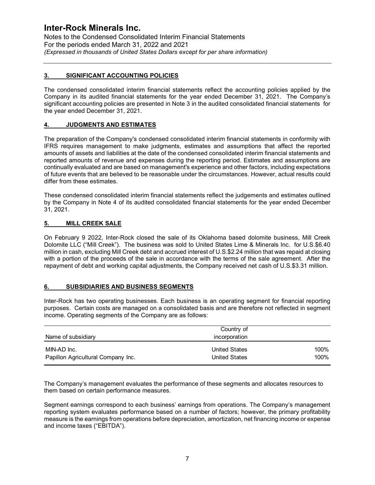Notes to the Condensed Consolidated Interim Financial Statements For the periods ended March 31, 2022 and 2021 (Expressed in thousands of United States Dollars except for per share information)

## 3. SIGNIFICANT ACCOUNTING POLICIES

The condensed consolidated interim financial statements reflect the accounting policies applied by the Company in its audited financial statements for the year ended December 31, 2021. The Company's significant accounting policies are presented in Note 3 in the audited consolidated financial statements for the year ended December 31, 2021.

## 4. JUDGMENTS AND ESTIMATES

The preparation of the Company's condensed consolidated interim financial statements in conformity with IFRS requires management to make judgments, estimates and assumptions that affect the reported amounts of assets and liabilities at the date of the condensed consolidated interim financial statements and reported amounts of revenue and expenses during the reporting period. Estimates and assumptions are continually evaluated and are based on management's experience and other factors, including expectations of future events that are believed to be reasonable under the circumstances. However, actual results could differ from these estimates.

## 5. MILL CREEK SALE

## 6. SUBSIDIARIES AND BUSINESS SEGMENTS

| by the Company in Note 4 of its audited consolidated financial statements for the year ended December<br>31, 2021.                                                                                                                                                                                                                                                                                                                                                                                                                                       | These condensed consolidated interim financial statements reflect the judgements and estimates outlined |      |  |
|----------------------------------------------------------------------------------------------------------------------------------------------------------------------------------------------------------------------------------------------------------------------------------------------------------------------------------------------------------------------------------------------------------------------------------------------------------------------------------------------------------------------------------------------------------|---------------------------------------------------------------------------------------------------------|------|--|
| 5.<br><b>MILL CREEK SALE</b>                                                                                                                                                                                                                                                                                                                                                                                                                                                                                                                             |                                                                                                         |      |  |
| On February 9 2022, Inter-Rock closed the sale of its Oklahoma based dolomite business, Mill Creek<br>Dolomite LLC ("Mill Creek"). The business was sold to United States Lime & Minerals Inc. for U.S.\$6.40<br>million in cash, excluding Mill Creek debt and accrued interest of U.S.\$2.24 million that was repaid at closing<br>with a portion of the proceeds of the sale in accordance with the terms of the sale agreement. After the<br>repayment of debt and working capital adjustments, the Company received net cash of U.S.\$3.31 million. |                                                                                                         |      |  |
| 6.<br><b>SUBSIDIARIES AND BUSINESS SEGMENTS</b>                                                                                                                                                                                                                                                                                                                                                                                                                                                                                                          |                                                                                                         |      |  |
|                                                                                                                                                                                                                                                                                                                                                                                                                                                                                                                                                          |                                                                                                         |      |  |
| Inter-Rock has two operating businesses. Each business is an operating segment for financial reporting<br>purposes. Certain costs are managed on a consolidated basis and are therefore not reflected in segment<br>income. Operating segments of the Company are as follows:                                                                                                                                                                                                                                                                            |                                                                                                         |      |  |
|                                                                                                                                                                                                                                                                                                                                                                                                                                                                                                                                                          |                                                                                                         |      |  |
| Name of subsidiary                                                                                                                                                                                                                                                                                                                                                                                                                                                                                                                                       | Country of<br>incorporation                                                                             |      |  |
| MIN-AD Inc.                                                                                                                                                                                                                                                                                                                                                                                                                                                                                                                                              | <b>United States</b>                                                                                    | 100% |  |

Segment earnings correspond to each business' earnings from operations. The Company's management reporting system evaluates performance based on a number of factors; however, the primary profitability measure is the earnings from operations before depreciation, amortization, net financing income or expense and income taxes ("EBITDA").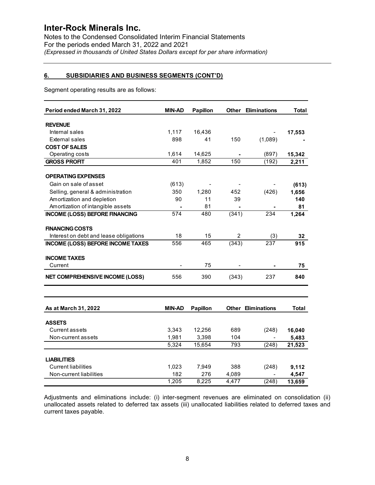## 6. SUBSIDIARIES AND BUSINESS SEGMENTS (CONT'D)

|                                                                 | For the periods ended March 31, 2022 and 2021 | (Expressed in thousands of United States Dollars except for per share information) | Notes to the Condensed Consolidated Interim Financial Statements |                           |              |
|-----------------------------------------------------------------|-----------------------------------------------|------------------------------------------------------------------------------------|------------------------------------------------------------------|---------------------------|--------------|
| <u>6.</u><br><b>SUBSIDIARIES AND BUSINESS SEGMENTS (CONT'D)</b> |                                               |                                                                                    |                                                                  |                           |              |
| Segment operating results are as follows:                       |                                               |                                                                                    |                                                                  |                           |              |
| Period ended March 31, 2022                                     | <b>MIN-AD</b>                                 | Papillon                                                                           | Other                                                            | <b>Eliminations</b>       | <b>Total</b> |
| <b>REVENUE</b>                                                  |                                               |                                                                                    |                                                                  |                           |              |
| Internal sales                                                  | 1,117                                         | 16,436                                                                             |                                                                  |                           | 17,553       |
| External sales                                                  | 898                                           | 41                                                                                 | 150                                                              | (1,089)                   |              |
| <b>COST OF SALES</b>                                            |                                               |                                                                                    |                                                                  |                           |              |
| Operating costs                                                 | 1,614                                         | 14,625                                                                             |                                                                  | (897)                     | 15,342       |
| <b>GROSS PROFIT</b>                                             | 401                                           | 1,852                                                                              | 150                                                              | (192)                     | 2,211        |
|                                                                 |                                               |                                                                                    |                                                                  |                           |              |
| <b>OPERATING EXPENSES</b>                                       |                                               |                                                                                    |                                                                  |                           |              |
| Gain on sale of asset                                           | (613)                                         | $\overline{\phantom{a}}$                                                           | $\blacksquare$                                                   |                           | (613)        |
| Selling, general & administration                               | 350                                           | 1,280                                                                              | 452                                                              | (426)                     | 1,656        |
| Amortization and depletion                                      | 90                                            | 11                                                                                 | 39                                                               |                           | 140          |
| Amortization of intangible assets                               | $\blacksquare$<br>574                         | 81<br>480                                                                          | $\blacksquare$<br>(341)                                          | 234                       | 81<br>1,264  |
| <b>INCOME (LOSS) BEFORE FINANCING</b>                           |                                               |                                                                                    |                                                                  |                           |              |
| <b>FINANCING COSTS</b>                                          |                                               |                                                                                    |                                                                  |                           |              |
| Interest on debt and lease obligations                          | 18                                            | 15                                                                                 | $\overline{a}$                                                   | (3)                       | 32           |
| INCOME (LOSS) BEFORE INCOME TAXES                               | 556                                           | 465                                                                                | (343)                                                            | 237                       | 915          |
|                                                                 |                                               |                                                                                    |                                                                  |                           |              |
| <b>INCOME TAXES</b>                                             |                                               |                                                                                    |                                                                  |                           |              |
| Current                                                         | $\overline{\phantom{a}}$                      | 75                                                                                 | $\overline{\phantom{a}}$                                         | $\blacksquare$            | 75           |
| NET COMPREHENSIVE INCOME (LOSS)                                 | 556                                           | 390                                                                                | (343)                                                            | 237                       | 840          |
|                                                                 |                                               |                                                                                    |                                                                  |                           |              |
|                                                                 |                                               |                                                                                    |                                                                  |                           |              |
| As at March 31, 2022                                            | <b>MIN-AD</b>                                 | <b>Papillon</b>                                                                    |                                                                  | <b>Other Eliminations</b> | Total        |
|                                                                 |                                               |                                                                                    |                                                                  |                           |              |
| <b>ASSETS</b>                                                   |                                               |                                                                                    |                                                                  |                           |              |
| <b>Current assets</b>                                           | 3,343                                         | 12,256                                                                             | 689                                                              | (248)                     | 16,040       |
| Non-current assets                                              | 1,981                                         | 3,398                                                                              | 104                                                              | $\blacksquare$            | 5,483        |
|                                                                 | 5,324                                         | 15,654                                                                             | 793                                                              | (248)                     | 21,523       |
|                                                                 |                                               |                                                                                    |                                                                  |                           |              |
| <b>LIABILITIES</b>                                              |                                               |                                                                                    |                                                                  |                           |              |
| <b>Current liabilities</b>                                      | 1,023                                         | 7,949                                                                              | 388                                                              | (248)                     | 9,112        |
| Non-current liabilities                                         | 182                                           | 276                                                                                | 4,089                                                            | $\blacksquare$            | 4,547        |
|                                                                 | 1,205                                         | 8,225                                                                              | 4,477                                                            | (248)                     | 13,659       |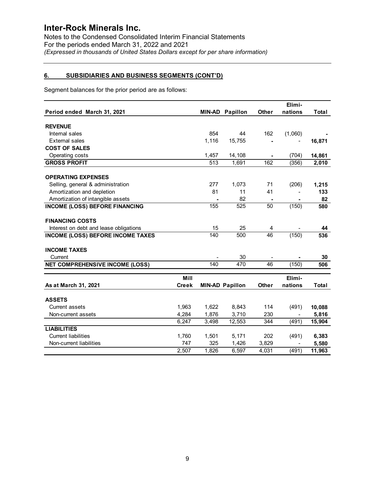## 6. SUBSIDIARIES AND BUSINESS SEGMENTS (CONT'D)

| <b>Inter-Rock Minerals Inc.</b>                                                    |              |                          |                        |                          |                          |              |
|------------------------------------------------------------------------------------|--------------|--------------------------|------------------------|--------------------------|--------------------------|--------------|
| Notes to the Condensed Consolidated Interim Financial Statements                   |              |                          |                        |                          |                          |              |
| For the periods ended March 31, 2022 and 2021                                      |              |                          |                        |                          |                          |              |
| (Expressed in thousands of United States Dollars except for per share information) |              |                          |                        |                          |                          |              |
| 6.<br><b>SUBSIDIARIES AND BUSINESS SEGMENTS (CONT'D)</b>                           |              |                          |                        |                          |                          |              |
| Segment balances for the prior period are as follows:                              |              |                          |                        |                          |                          |              |
|                                                                                    |              |                          |                        |                          | Elimi-                   |              |
| Period ended March 31, 2021                                                        |              |                          | <b>MIN-AD Papillon</b> | <b>Other</b>             | nations                  | <b>Total</b> |
| <b>REVENUE</b>                                                                     |              |                          |                        |                          |                          |              |
| Internal sales                                                                     |              | 854                      | 44                     | 162                      | (1,060)                  |              |
| External sales                                                                     |              | 1,116                    | 15,755                 |                          | $\blacksquare$           | 16,871       |
| <b>COST OF SALES</b>                                                               |              |                          |                        |                          |                          |              |
| Operating costs                                                                    |              | 1,457                    | 14,108                 | $\blacksquare$           | (704)                    | 14,861       |
| <b>GROSS PROFIT</b>                                                                |              | 513                      | 1,691                  | 162                      | (356)                    | 2,010        |
| <b>OPERATING EXPENSES</b>                                                          |              |                          |                        |                          |                          |              |
| Selling, general & administration                                                  |              | 277                      | 1,073                  | 71                       | (206)                    | 1,215        |
| Amortization and depletion                                                         |              | 81                       | 11                     | 41                       | $\blacksquare$           | 133          |
| Amortization of intangible assets                                                  |              | $\overline{\phantom{a}}$ | 82                     | $\sim$                   | $\overline{\phantom{a}}$ | 82           |
| <b>INCOME (LOSS) BEFORE FINANCING</b>                                              |              | 155                      | 525                    | 50                       | (150)                    | 580          |
| <b>FINANCING COSTS</b>                                                             |              |                          |                        |                          |                          |              |
| Interest on debt and lease obligations                                             |              | 15                       | 25                     | $\overline{4}$           | $\overline{\phantom{a}}$ | 44           |
| <b>INCOME (LOSS) BEFORE INCOME TAXES</b>                                           |              | 140                      | 500                    | 46                       | (150)                    | 536          |
| <b>INCOME TAXES</b>                                                                |              |                          |                        |                          |                          |              |
| Current                                                                            |              |                          | 30                     | $\overline{\phantom{a}}$ |                          | 30           |
| <b>NET COMPREHENSIVE INCOME (LOSS)</b>                                             |              | 140                      | 470                    | 46                       | (150)                    | 506          |
|                                                                                    | Mill         |                          |                        |                          | Elimi-                   |              |
| As at March 31, 2021                                                               | <b>Creek</b> |                          | <b>MIN-AD Papillon</b> | Other                    | nations                  | Total        |
| <b>ASSETS</b>                                                                      |              |                          |                        |                          |                          |              |
| Current assets                                                                     | 1,963        | 1,622                    | 8,843                  | 114                      | (491)                    | 10,088       |
| Non-current assets                                                                 | 4,284        | 1,876                    | 3,710                  | 230                      |                          | 5,816        |
|                                                                                    | 6,247        | 3,498                    | 12,553                 | 344                      | (491)                    | 15,904       |
| <b>LIABILITIES</b>                                                                 |              |                          |                        |                          |                          |              |
| <b>Current liabilities</b>                                                         | 1,760        | 1,501                    | 5,171                  | 202                      | (491)                    | 6,383        |
| Non-current liabilities                                                            | 747          | 325<br>1,826             | 1,426                  | 3,829                    |                          | 5,580        |
|                                                                                    | 2,507        |                          | 6,597                  | 4,031                    | (491)                    | 11,963       |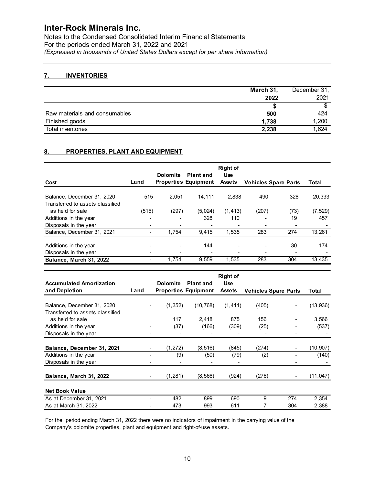Notes to the Condensed Consolidated Interim Financial Statements For the periods ended March 31, 2022 and 2021 (Expressed in thousands of United States Dollars except for per share information)

## 7. INVENTORIES

|                               | March 31. | December 31, |
|-------------------------------|-----------|--------------|
|                               | 2022      | 2021         |
|                               |           |              |
| Raw materials and consumables | 500       | 424          |
| Finished goods                | 1,738     | 1,200        |
| Total inventories             | 2,238     | 1,624        |

## 8. PROPERTIES, PLANT AND EQUIPMENT

| Notes to the Condensed Consolidated Interim Financial Statements<br>For the periods ended March 31, 2022 and 2021 |                      |                          |                                                 |                                                |                             |        |                          |
|-------------------------------------------------------------------------------------------------------------------|----------------------|--------------------------|-------------------------------------------------|------------------------------------------------|-----------------------------|--------|--------------------------|
| (Expressed in thousands of United States Dollars except for per share information)                                |                      |                          |                                                 |                                                |                             |        |                          |
| 7.<br><b>INVENTORIES</b>                                                                                          |                      |                          |                                                 |                                                |                             |        |                          |
|                                                                                                                   |                      |                          |                                                 |                                                | March 31,                   |        | December 31,             |
|                                                                                                                   |                      |                          |                                                 |                                                | 2022                        |        | 2021                     |
|                                                                                                                   |                      |                          |                                                 |                                                | \$                          |        | $\overline{\mathcal{S}}$ |
| Raw materials and consumables                                                                                     |                      |                          |                                                 |                                                | 500                         |        | 424                      |
| Finished goods                                                                                                    |                      |                          |                                                 |                                                | 1,738                       |        | 1,200                    |
| Total inventories                                                                                                 |                      |                          |                                                 |                                                | 2,238                       |        | 1,624                    |
| Cost                                                                                                              | Land                 | <b>Dolomite</b>          | <b>Plant and</b><br><b>Properties Equipment</b> | <b>Right of</b><br><b>Use</b><br><b>Assets</b> | <b>Vehicles Spare Parts</b> |        | Total                    |
| Balance, December 31, 2020<br>Transferred to assets classified                                                    | 515                  | 2,051                    | 14,111                                          | 2,838                                          | 490                         | 328    | 20,333                   |
| as held for sale                                                                                                  | (515)                | (297)                    | (5,024)                                         | (1, 413)                                       | (207)                       | (73)   | (7, 529)                 |
| Additions in the year                                                                                             |                      | $\overline{\phantom{a}}$ | 328                                             | 110                                            |                             | 19     | 457                      |
| Disposals in the year                                                                                             | $\blacksquare$       |                          |                                                 |                                                |                             |        |                          |
| Balance, December 31, 2021                                                                                        | $\blacksquare$       | 1,754                    | 9,415                                           | 1,535                                          | 283                         | 274    | 13,261                   |
| Additions in the year                                                                                             |                      |                          | 144                                             |                                                |                             | $30\,$ | 174                      |
| Disposals in the year                                                                                             | $\blacksquare$       | $\overline{\phantom{a}}$ | $\blacksquare$                                  | $\sim$                                         | $\sim$                      | $\sim$ |                          |
| Balance, March 31, 2022                                                                                           | $\ddot{\phantom{a}}$ | 1,754                    | 9,559                                           | 1,535                                          | 283                         | 304    | 13,435                   |
|                                                                                                                   |                      |                          |                                                 | <b>Right of</b>                                |                             |        |                          |
| <b>Accumulated Amortization</b>                                                                                   |                      | <b>Dolomite</b>          | <b>Plant and</b>                                | <b>Use</b>                                     |                             |        |                          |
| and Depletion                                                                                                     | Land                 |                          | <b>Properties Equipment</b>                     | <b>Assets</b>                                  | <b>Vehicles Spare Parts</b> |        | Total                    |
| Balance, December 31, 2020<br>Transferred to assets classified                                                    |                      | (1, 352)                 | (10, 768)                                       | (1, 411)                                       | (405)                       |        | (13, 936)                |
| as held for sale                                                                                                  |                      | 117                      | 2,418                                           | 875                                            | 156                         |        | 3,566                    |
| Additions in the year                                                                                             |                      | (37)                     | (166)                                           | (309)                                          | (25)                        |        | (537)                    |
| Disposals in the year                                                                                             |                      |                          |                                                 |                                                |                             |        |                          |

|                                                                |                | <b>Dolomite</b> | <b>Plant and</b>            | <b>Right of</b><br><b>Use</b> |                             |                          |              |
|----------------------------------------------------------------|----------------|-----------------|-----------------------------|-------------------------------|-----------------------------|--------------------------|--------------|
| Cost                                                           | Land           |                 | <b>Properties Equipment</b> | <b>Assets</b>                 | <b>Vehicles Spare Parts</b> |                          | <b>Total</b> |
| Balance, December 31, 2020<br>Transferred to assets classified | 515            | 2,051           | 14,111                      | 2,838                         | 490                         | 328                      | 20,333       |
| as held for sale                                               | (515)          | (297)           | (5,024)                     | (1, 413)                      | (207)                       | (73)                     | (7, 529)     |
| Additions in the year                                          |                |                 | 328                         | 110                           |                             | 19                       | 457          |
| Disposals in the year                                          |                |                 |                             |                               |                             |                          |              |
| Balance, December 31, 2021                                     | $\blacksquare$ | 1,754           | 9,415                       | 1,535                         | 283                         | 274                      | 13,261       |
| Additions in the year                                          |                |                 | 144                         |                               |                             | 30                       | 174          |
| Disposals in the year                                          |                |                 |                             | $\blacksquare$                | $\blacksquare$              | $\sim$                   |              |
| Balance, March 31, 2022                                        | $\blacksquare$ | 1,754           | 9,559                       | 1,535                         | 283                         | 304                      | 13,435       |
|                                                                |                |                 |                             |                               |                             |                          |              |
|                                                                |                |                 |                             | <b>Right of</b>               |                             |                          |              |
| <b>Accumulated Amortization</b>                                |                | <b>Dolomite</b> | <b>Plant and</b>            | <b>Use</b>                    |                             |                          |              |
| and Depletion                                                  | Land           |                 | <b>Properties Equipment</b> | <b>Assets</b>                 | <b>Vehicles Spare Parts</b> |                          | Total        |
| Balance, December 31, 2020                                     |                | (1, 352)        | (10, 768)                   | (1, 411)                      | (405)                       | $\blacksquare$           | (13, 936)    |
| Transferred to assets classified                               |                |                 |                             |                               |                             |                          |              |
| as held for sale                                               |                | 117             | 2,418                       | 875                           | 156                         |                          | 3,566        |
| Additions in the year                                          |                | (37)            | (166)                       | (309)                         | (25)                        | $\blacksquare$           | (537)        |
| Disposals in the year                                          |                | $\blacksquare$  |                             | $\blacksquare$                | $\blacksquare$              | $\overline{\phantom{0}}$ |              |
| Balance, December 31, 2021                                     | $\blacksquare$ | (1, 272)        | (8,516)                     | (845)                         | (274)                       | $\blacksquare$           | (10, 907)    |
| Additions in the year                                          |                | (9)             | (50)                        | (79)                          | (2)                         |                          | (140)        |
| Disposals in the year                                          |                | L.              | $\overline{a}$              | $\blacksquare$                |                             |                          |              |
| Balance, March 31, 2022                                        |                | (1, 281)        | (8, 566)                    | (924)                         | (276)                       |                          | (11, 047)    |
| <b>Net Book Value</b>                                          |                |                 |                             |                               |                             |                          |              |
|                                                                | $\blacksquare$ | 482             | 899                         | 690                           | 9                           | 274                      | 2,354        |
| As at December 31, 2021                                        |                | 473             | 993                         | 611                           | $\overline{7}$              | 304                      | 2,388        |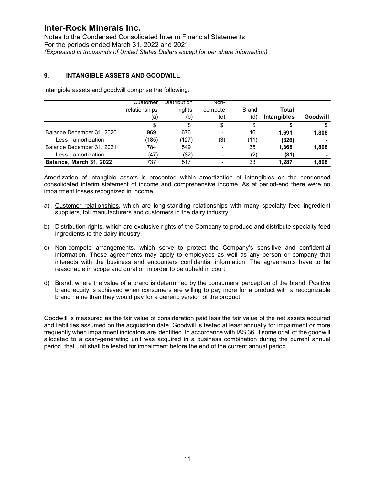## 9. INTANGIBLE ASSETS AND GOODWILL

| <b>Inter-Rock Minerals Inc.</b><br>Notes to the Condensed Consolidated Interim Financial Statements<br>For the periods ended March 31, 2022 and 2021<br>(Expressed in thousands of United States Dollars except for per share information) |               |                     |         |              |               |          |
|--------------------------------------------------------------------------------------------------------------------------------------------------------------------------------------------------------------------------------------------|---------------|---------------------|---------|--------------|---------------|----------|
| 9.<br><b>INTANGIBLE ASSETS AND GOODWILL</b>                                                                                                                                                                                                |               |                     |         |              |               |          |
|                                                                                                                                                                                                                                            |               |                     |         |              |               |          |
| Intangible assets and goodwill comprise the following:                                                                                                                                                                                     |               |                     |         |              |               |          |
|                                                                                                                                                                                                                                            | Customer      | <b>Distribution</b> | Non-    |              |               |          |
|                                                                                                                                                                                                                                            | relationships | rights              | compete | <b>Brand</b> | Total         |          |
|                                                                                                                                                                                                                                            | (a)           | (b)                 | (c)     | (d)          | Intangibles   | Goodwill |
|                                                                                                                                                                                                                                            | \$            | \$                  | \$      | \$           | \$            | \$       |
| Balance December 31, 2020                                                                                                                                                                                                                  | 969           | 676                 |         | 46           | 1,691         | 1,808    |
| Less: amortization                                                                                                                                                                                                                         | (185)         | (127)               | (3)     | (11)         | (326)         |          |
| Balance December 31, 2021                                                                                                                                                                                                                  | 784           | 549                 |         | 35           | 1,368         | 1,808    |
| Less: amortization<br>Balance, March 31, 2022                                                                                                                                                                                              | (47)<br>737   | (32)<br>517         |         | (2)<br>33    | (81)<br>1,287 | 1,808    |

- a) Customer relationships, which are long-standing relationships with many specialty feed ingredient suppliers, toll manufacturers and customers in the dairy industry.
- b) Distribution rights, which are exclusive rights of the Company to produce and distribute specialty feed ingredients to the dairy industry.
- c) Non-compete arrangements, which serve to protect the Company's sensitive and confidential information. These agreements may apply to employees as well as any person or company that interacts with the business and encounters confidential information. The agreements have to be reasonable in scope and duration in order to be upheld in court.
- d) Brand, where the value of a brand is determined by the consumers' perception of the brand. Positive brand equity is achieved when consumers are willing to pay more for a product with a recognizable brand name than they would pay for a generic version of the product.

Goodwill is measured as the fair value of consideration paid less the fair value of the net assets acquired and liabilities assumed on the acquisition date. Goodwill is tested at least annually for impairment or more frequently when impairment indicators are identified. In accordance with IAS 36, if some or all of the goodwill allocated to a cash-generating unit was acquired in a business combination during the current annual period, that unit shall be tested for impairment before the end of the current annual period.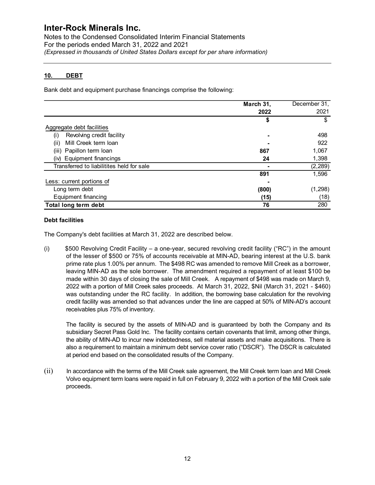Notes to the Condensed Consolidated Interim Financial Statements For the periods ended March 31, 2022 and 2021 (Expressed in thousands of United States Dollars except for per share information)

## 10. DEBT

| March 31, | December 31,                                                                         |
|-----------|--------------------------------------------------------------------------------------|
| 2022      | 2021                                                                                 |
| S         | \$                                                                                   |
|           |                                                                                      |
|           | 498                                                                                  |
|           | 922                                                                                  |
| 867       | 1,067                                                                                |
| 24        | 1,398                                                                                |
|           | (2, 289)                                                                             |
| 891       | 1,596                                                                                |
|           |                                                                                      |
|           | (1, 298)                                                                             |
|           | (18)                                                                                 |
| 76        | 280                                                                                  |
|           | Bank debt and equipment purchase financings comprise the following:<br>(800)<br>(15) |

#### Debt facilities

(i) \$500 Revolving Credit Facility – a one-year, secured revolving credit facility ("RC") in the amount of the lesser of \$500 or 75% of accounts receivable at MIN-AD, bearing interest at the U.S. bank prime rate plus 1.00% per annum. The \$498 RC was amended to remove Mill Creek as a borrower, leaving MIN-AD as the sole borrower. The amendment required a repayment of at least \$100 be made within 30 days of closing the sale of Mill Creek. A repayment of \$498 was made on March 9, 2022 with a portion of Mill Creek sales proceeds. At March 31, 2022, \$Nil (March 31, 2021 - \$460) was outstanding under the RC facility. In addition, the borrowing base calculation for the revolving credit facility was amended so that advances under the line are capped at 50% of MIN-AD's account receivables plus 75% of inventory.

The facility is secured by the assets of MIN-AD and is guaranteed by both the Company and its subsidiary Secret Pass Gold Inc. The facility contains certain covenants that limit, among other things, the ability of MIN-AD to incur new indebtedness, sell material assets and make acquisitions. There is also a requirement to maintain a minimum debt service cover ratio ("DSCR"). The DSCR is calculated at period end based on the consolidated results of the Company.

(ii) In accordance with the terms of the Mill Creek sale agreement, the Mill Creek term loan and Mill Creek Volvo equipment term loans were repaid in full on February 9, 2022 with a portion of the Mill Creek sale proceeds.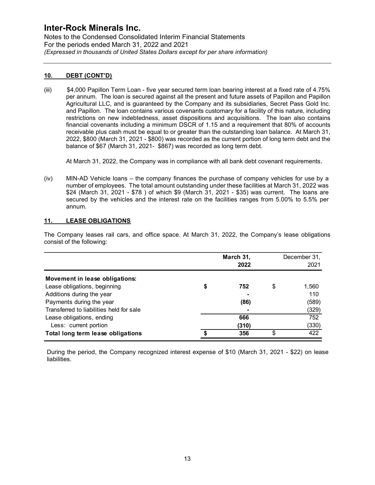Notes to the Condensed Consolidated Interim Financial Statements For the periods ended March 31, 2022 and 2021 (Expressed in thousands of United States Dollars except for per share information)

## 10. DEBT (CONT'D)

(iii) \$4,000 Papillon Term Loan - five year secured term loan bearing interest at a fixed rate of 4.75% per annum. The loan is secured against all the present and future assets of Papillon and Papillon Agricultural LLC, and is guaranteed by the Company and its subsidiaries, Secret Pass Gold Inc. and Papillon. The loan contains various covenants customary for a facility of this nature, including restrictions on new indebtedness, asset dispositions and acquisitions. The loan also contains financial covenants including a minimum DSCR of 1.15 and a requirement that 80% of accounts receivable plus cash must be equal to or greater than the outstanding loan balance. At March 31, 2022, \$800 (March 31, 2021 - \$800) was recorded as the current portion of long term debt and the balance of \$67 (March 31, 2021- \$867) was recorded as long term debt.

At March 31, 2022, the Company was in compliance with all bank debt covenant requirements.

## 11. LEASE OBLIGATIONS

|     | MIN-AD Vehicle loans – the company finances the purchase of company vehicles for use by a<br>(iv)<br>number of employees. The total amount outstanding under these facilities at March 31, 2022 was<br>\$24 (March 31, 2021 - \$78) of which \$9 (March 31, 2021 - \$35) was current. The loans are<br>secured by the vehicles and the interest rate on the facilities ranges from 5.00% to 5.5% per<br>annum. |    |                   |    |                      |  |
|-----|----------------------------------------------------------------------------------------------------------------------------------------------------------------------------------------------------------------------------------------------------------------------------------------------------------------------------------------------------------------------------------------------------------------|----|-------------------|----|----------------------|--|
| 11. | <b>LEASE OBLIGATIONS</b>                                                                                                                                                                                                                                                                                                                                                                                       |    |                   |    |                      |  |
|     | The Company leases rail cars, and office space. At March 31, 2022, the Company's lease obligations<br>consist of the following:                                                                                                                                                                                                                                                                                |    |                   |    |                      |  |
|     |                                                                                                                                                                                                                                                                                                                                                                                                                |    | March 31,<br>2022 |    | December 31,<br>2021 |  |
|     | Movement in lease obligations:                                                                                                                                                                                                                                                                                                                                                                                 |    |                   |    |                      |  |
|     | Lease obligations, beginning                                                                                                                                                                                                                                                                                                                                                                                   | \$ | 752               | \$ | 1,560                |  |
|     | Additions during the year                                                                                                                                                                                                                                                                                                                                                                                      |    |                   |    | 110                  |  |
|     | Payments during the year                                                                                                                                                                                                                                                                                                                                                                                       |    | (86)              |    | (589)                |  |
|     | Transferred to liabilities held for sale                                                                                                                                                                                                                                                                                                                                                                       |    |                   |    | (329)                |  |
|     | Lease obligations, ending                                                                                                                                                                                                                                                                                                                                                                                      |    | 666               |    | 752                  |  |
|     | Less: current portion                                                                                                                                                                                                                                                                                                                                                                                          |    | (310)             |    | (330)                |  |
|     | Total long term lease obligations                                                                                                                                                                                                                                                                                                                                                                              |    | 356               | \$ | 422                  |  |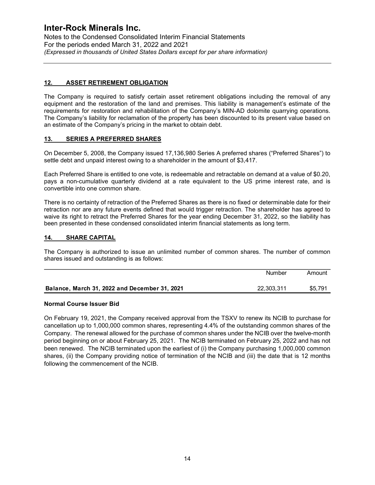Notes to the Condensed Consolidated Interim Financial Statements For the periods ended March 31, 2022 and 2021 (Expressed in thousands of United States Dollars except for per share information)

## 12. ASSET RETIREMENT OBLIGATION

The Company is required to satisfy certain asset retirement obligations including the removal of any equipment and the restoration of the land and premises. This liability is management's estimate of the requirements for restoration and rehabilitation of the Company's MIN-AD dolomite quarrying operations. The Company's liability for reclamation of the property has been discounted to its present value based on an estimate of the Company's pricing in the market to obtain debt.

## 13. SERIES A PREFERRED SHARES

On December 5, 2008, the Company issued 17,136,980 Series A preferred shares ("Preferred Shares") to settle debt and unpaid interest owing to a shareholder in the amount of \$3,417.

Each Preferred Share is entitled to one vote, is redeemable and retractable on demand at a value of \$0.20, pays a non-cumulative quarterly dividend at a rate equivalent to the US prime interest rate, and is convertible into one common share.

There is no certainty of retraction of the Preferred Shares as there is no fixed or determinable date for their retraction nor are any future events defined that would trigger retraction. The shareholder has agreed to waive its right to retract the Preferred Shares for the year ending December 31, 2022, so the liability has been presented in these condensed consolidated interim financial statements as long term. or qualitying operations.<br>
present value based on<br>
and at a value of \$0.20,<br>
ne interest rate, and is<br>
terminable date for their<br>
rerholder has agreed to<br>
0022, so the liability has<br>
mg term.<br>
The number of common<br>
Number **I3.** SERIES A PREFERRED SHARES<br>
Dn December 5, 2008, the Company issued 17,136,980 Series A preferred shares ("Preferred Shares") to<br>
settle debt and unpaid interest owing to a shareholder in the amount of \$3,417.<br>
Each P

## 14. SHARE CAPITAL

The Company is authorized to issue an unlimited number of common shares. The number of common shares issued and outstanding is as follows:

|                                               | Number     | Amount  |
|-----------------------------------------------|------------|---------|
| Balance, March 31, 2022 and December 31, 2021 | 22.303.311 | \$5.791 |

#### Normal Course Issuer Bid

On February 19, 2021, the Company received approval from the TSXV to renew its NCIB to purchase for cancellation up to 1,000,000 common shares, representing 4.4% of the outstanding common shares of the Company. The renewal allowed for the purchase of common shares under the NCIB over the twelve-month period beginning on or about February 25, 2021. The NCIB terminated on February 25, 2022 and has not been renewed. The NCIB terminated upon the earliest of (i) the Company purchasing 1,000,000 common shares, (ii) the Company providing notice of termination of the NCIB and (iii) the date that is 12 months following the commencement of the NCIB.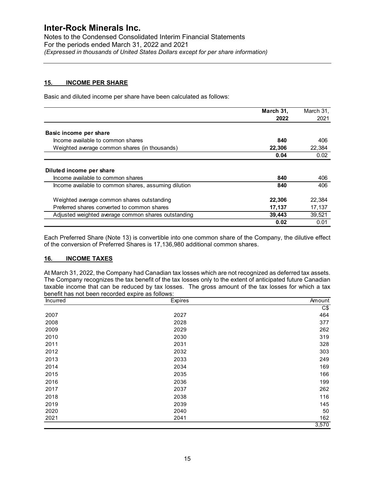Notes to the Condensed Consolidated Interim Financial Statements For the periods ended March 31, 2022 and 2021 (Expressed in thousands of United States Dollars except for per share information)

## 15. INCOME PER SHARE

Basic and diluted income per share have been calculated as follows:

|                                                                                       |                                                                                                                                                                                                                                                                                                                               | March 31,                                                                     | March 31,  |
|---------------------------------------------------------------------------------------|-------------------------------------------------------------------------------------------------------------------------------------------------------------------------------------------------------------------------------------------------------------------------------------------------------------------------------|-------------------------------------------------------------------------------|------------|
|                                                                                       |                                                                                                                                                                                                                                                                                                                               | 2022                                                                          | 2021       |
| Basic income per share                                                                |                                                                                                                                                                                                                                                                                                                               |                                                                               |            |
| Income available to common shares                                                     |                                                                                                                                                                                                                                                                                                                               |                                                                               |            |
|                                                                                       |                                                                                                                                                                                                                                                                                                                               | 840                                                                           | 406        |
| Weighted average common shares (in thousands)                                         |                                                                                                                                                                                                                                                                                                                               | 22,306                                                                        | 22,384     |
|                                                                                       |                                                                                                                                                                                                                                                                                                                               | 0.04                                                                          | 0.02       |
| Diluted income per share                                                              |                                                                                                                                                                                                                                                                                                                               |                                                                               |            |
| Income available to common shares                                                     |                                                                                                                                                                                                                                                                                                                               | 840                                                                           | 406        |
|                                                                                       | Income available to common shares, assuming dilution                                                                                                                                                                                                                                                                          | 840                                                                           | 406        |
| Weighted average common shares outstanding                                            |                                                                                                                                                                                                                                                                                                                               | 22,306                                                                        | 22,384     |
| Preferred shares converted to common shares                                           |                                                                                                                                                                                                                                                                                                                               | 17,137                                                                        | 17,137     |
|                                                                                       | Adjusted weighted average common shares outstanding                                                                                                                                                                                                                                                                           | 39,443                                                                        | 39,521     |
|                                                                                       |                                                                                                                                                                                                                                                                                                                               | 0.02                                                                          | 0.01       |
|                                                                                       |                                                                                                                                                                                                                                                                                                                               | of the conversion of Preferred Shares is 17,136,980 additional common shares. |            |
| <b>INCOME TAXES</b><br><u>16.</u><br>benefit has not been recorded expire as follows: | At March 31, 2022, the Company had Canadian tax losses which are not recognized as deferred tax assets.<br>The Company recognizes the tax benefit of the tax losses only to the extent of anticipated future Canadian<br>taxable income that can be reduced by tax losses. The gross amount of the tax losses for which a tax |                                                                               |            |
| Incurred                                                                              | Expires                                                                                                                                                                                                                                                                                                                       |                                                                               | Amount     |
|                                                                                       |                                                                                                                                                                                                                                                                                                                               |                                                                               | C\$        |
| 2007<br>2008                                                                          | 2027                                                                                                                                                                                                                                                                                                                          |                                                                               | 464        |
| 2009                                                                                  | 2028<br>2029                                                                                                                                                                                                                                                                                                                  |                                                                               | 377<br>262 |
| 2010                                                                                  |                                                                                                                                                                                                                                                                                                                               |                                                                               |            |
| 2011                                                                                  | 2030<br>2031                                                                                                                                                                                                                                                                                                                  |                                                                               | 319<br>328 |

#### 16. INCOME TAXES

| Diluted income per share<br>Income available to common shares |                                                                                                                                                                                                                    | 840    | 406       |
|---------------------------------------------------------------|--------------------------------------------------------------------------------------------------------------------------------------------------------------------------------------------------------------------|--------|-----------|
|                                                               | Income available to common shares, assuming dilution                                                                                                                                                               | 840    | 406       |
|                                                               |                                                                                                                                                                                                                    |        |           |
| Weighted average common shares outstanding                    |                                                                                                                                                                                                                    | 22,306 | 22,384    |
| Preferred shares converted to common shares                   |                                                                                                                                                                                                                    | 17,137 | 17,137    |
|                                                               | Adjusted weighted average common shares outstanding                                                                                                                                                                | 39,443 | 39,521    |
|                                                               |                                                                                                                                                                                                                    | 0.02   | 0.01      |
| <b>INCOME TAXES</b><br><u>16.</u>                             | of the conversion of Preferred Shares is 17,136,980 additional common shares.<br>At March 31, 2022, the Company had Canadian tax losses which are not recognized as deferred tax assets.                           |        |           |
|                                                               | The Company recognizes the tax benefit of the tax losses only to the extent of anticipated future Canadian<br>taxable income that can be reduced by tax losses. The gross amount of the tax losses for which a tax |        |           |
| benefit has not been recorded expire as follows:              |                                                                                                                                                                                                                    |        |           |
| Incurred                                                      | Expires                                                                                                                                                                                                            |        | Amount    |
|                                                               |                                                                                                                                                                                                                    |        | C\$       |
| 2007                                                          | 2027                                                                                                                                                                                                               |        | 464       |
| 2008                                                          | 2028                                                                                                                                                                                                               |        | 377       |
| 2009                                                          | 2029                                                                                                                                                                                                               |        | 262       |
| 2010                                                          | 2030                                                                                                                                                                                                               |        | 319       |
| 2011                                                          | 2031                                                                                                                                                                                                               |        | 328       |
| 2012                                                          | 2032                                                                                                                                                                                                               |        | 303       |
| 2013                                                          | 2033                                                                                                                                                                                                               |        | 249       |
| 2014                                                          | 2034                                                                                                                                                                                                               |        | 169       |
| 2015                                                          | 2035                                                                                                                                                                                                               |        | 166       |
| 2016                                                          | 2036                                                                                                                                                                                                               |        | 199       |
| 2017                                                          | 2037                                                                                                                                                                                                               |        | 262       |
| 2018                                                          | 2038                                                                                                                                                                                                               |        | 116       |
| 2019                                                          | 2039                                                                                                                                                                                                               |        | 145       |
| 2020<br>2021                                                  | 2040<br>2041                                                                                                                                                                                                       |        | 50<br>162 |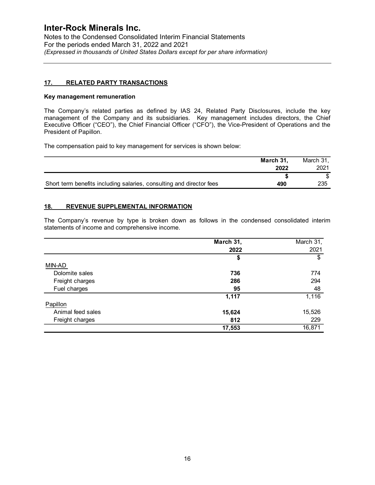Notes to the Condensed Consolidated Interim Financial Statements For the periods ended March 31, 2022 and 2021 (Expressed in thousands of United States Dollars except for per share information)

## 17. RELATED PARTY TRANSACTIONS

#### Key management remuneration

The Company's related parties as defined by IAS 24, Related Party Disclosures, include the key management of the Company and its subsidiaries. Key management includes directors, the Chief Executive Officer ("CEO"), the Chief Financial Officer ("CFO"), the Vice-President of Operations and the President of Papillon.

The compensation paid to key management for services is shown below:

|                                                                      | March 31<br>2022 | March 31,<br>2021 |
|----------------------------------------------------------------------|------------------|-------------------|
|                                                                      |                  |                   |
| Short term benefits including salaries, consulting and director fees | 490              | 235               |

## 18. REVENUE SUPPLEMENTAL INFORMATION

The Company's revenue by type is broken down as follows in the condensed consolidated interim statements of income and comprehensive income.

|                   | March 31, | March 31, |
|-------------------|-----------|-----------|
|                   | 2022      | 2021      |
|                   |           |           |
| MIN-AD            |           |           |
| Dolomite sales    | 736       | 774       |
| Freight charges   | 286       | 294       |
| Fuel charges      | 95        | 48        |
|                   | 1,117     | 1,116     |
| Papillon          |           |           |
| Animal feed sales | 15,624    | 15,526    |
| Freight charges   | 812       | 229       |
|                   | 17,553    | 16,871    |